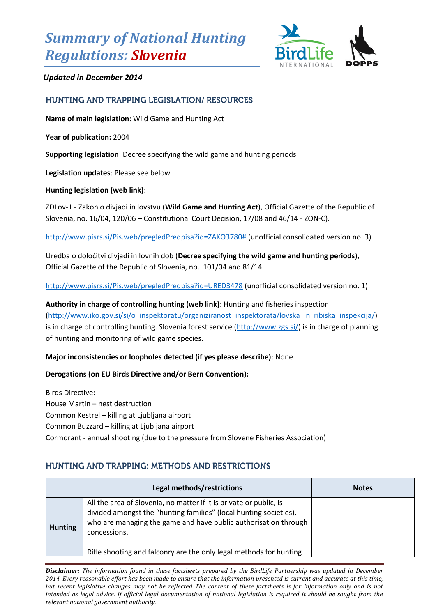# *Summary of National Hunting Regulations: Slovenia*



## *Updated in December 2014*

## HUNTING AND TRAPPING LEGISLATION/ RESOURCES

**Name of main legislation**: Wild Game and Hunting Act

**Year of publication:** 2004

**Supporting legislation**: Decree specifying the wild game and hunting periods

**Legislation updates**: Please see below

#### **Hunting legislation (web link)**:

ZDLov-1 - Zakon o divjadi in lovstvu (**Wild Game and Hunting Act**), Official Gazette of the Republic of Slovenia, no. 16/04, 120/06 – Constitutional Court Decision, 17/08 and 46/14 - ZON-C).

[http://www.pisrs.si/Pis.web/pregledPredpisa?id=ZAKO3780#](http://www.pisrs.si/Pis.web/pregledPredpisa?id=ZAKO3780) (unofficial consolidated version no. 3)

Uredba o določitvi divjadi in lovnih dob (**Decree specifying the wild game and hunting periods**), Official Gazette of the Republic of Slovenia, no. 101/04 and 81/14.

<http://www.pisrs.si/Pis.web/pregledPredpisa?id=URED3478> (unofficial consolidated version no. 1)

**Authority in charge of controlling hunting (web link)**: Hunting and fisheries inspection [\(http://www.iko.gov.si/si/o\\_inspektoratu/organiziranost\\_inspektorata/lovska\\_in\\_ribiska\\_inspekcija/\)](http://www.iko.gov.si/si/o_inspektoratu/organiziranost_inspektorata/lovska_in_ribiska_inspekcija/) is in charge of controlling hunting. Slovenia forest service [\(http://www.zgs.si/\)](http://www.zgs.si/) is in charge of planning of hunting and monitoring of wild game species.

### **Major inconsistencies or loopholes detected (if yes please describe)**: None.

### **Derogations (on EU Birds Directive and/or Bern Convention):**

Birds Directive: House Martin – nest destruction Common Kestrel – killing at Ljubljana airport Common Buzzard – killing at Ljubljana airport Cormorant - annual shooting (due to the pressure from Slovene Fisheries Association)

## HUNTING AND TRAPPING: METHODS AND RESTRICTIONS

|                | Legal methods/restrictions                                                                                                                                                                                                                                                                       | <b>Notes</b> |
|----------------|--------------------------------------------------------------------------------------------------------------------------------------------------------------------------------------------------------------------------------------------------------------------------------------------------|--------------|
| <b>Hunting</b> | All the area of Slovenia, no matter if it is private or public, is<br>divided amongst the "hunting families" (local hunting societies),<br>who are managing the game and have public authorisation through<br>concessions.<br>Rifle shooting and falconry are the only legal methods for hunting |              |

*Disclaimer: The information found in these factsheets prepared by the BirdLife Partnership was updated in December 2014. Every reasonable effort has been made to ensure that the information presented is current and accurate at this time, but recent legislative changes may not be reflected. The content of these factsheets is for information only and is not intended as legal advice. If official legal documentation of national legislation is required it should be sought from the relevant national government authority.*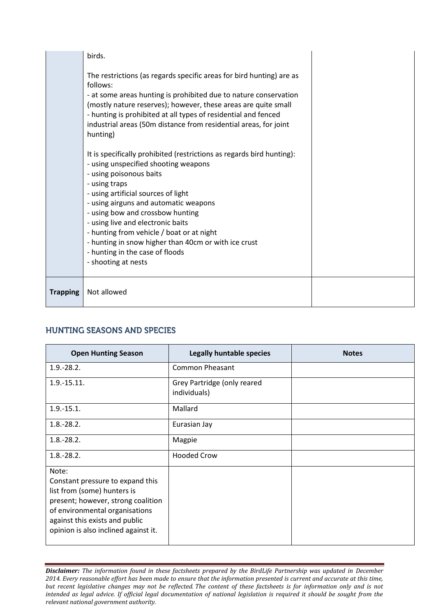|                 | - using poisonous baits<br>- using traps<br>- using artificial sources of light<br>- using airguns and automatic weapons<br>- using bow and crossbow hunting<br>- using live and electronic baits |  |
|-----------------|---------------------------------------------------------------------------------------------------------------------------------------------------------------------------------------------------|--|
|                 | - hunting from vehicle / boat or at night<br>- hunting in snow higher than 40cm or with ice crust<br>- hunting in the case of floods<br>- shooting at nests                                       |  |
| <b>Trapping</b> | Not allowed                                                                                                                                                                                       |  |

## **HUNTING SEASONS AND SPECIES**

| <b>Open Hunting Season</b>                                                                                                                                                                                                 | <b>Legally huntable species</b>             | <b>Notes</b> |
|----------------------------------------------------------------------------------------------------------------------------------------------------------------------------------------------------------------------------|---------------------------------------------|--------------|
| $1.9 - 28.2$ .                                                                                                                                                                                                             | <b>Common Pheasant</b>                      |              |
| $1.9 - 15.11.$                                                                                                                                                                                                             | Grey Partridge (only reared<br>individuals) |              |
| $1.9 - 15.1.$                                                                                                                                                                                                              | Mallard                                     |              |
| $1.8 - 28.2.$                                                                                                                                                                                                              | Eurasian Jay                                |              |
| $1.8 - 28.2.$                                                                                                                                                                                                              | Magpie                                      |              |
| $1.8 - 28.2.$                                                                                                                                                                                                              | <b>Hooded Crow</b>                          |              |
| Note:<br>Constant pressure to expand this<br>list from (some) hunters is<br>present; however, strong coalition<br>of environmental organisations<br>against this exists and public<br>opinion is also inclined against it. |                                             |              |

*Disclaimer: The information found in these factsheets prepared by the BirdLife Partnership was updated in December 2014. Every reasonable effort has been made to ensure that the information presented is current and accurate at this time, but recent legislative changes may not be reflected. The content of these factsheets is for information only and is not intended as legal advice. If official legal documentation of national legislation is required it should be sought from the relevant national government authority.*